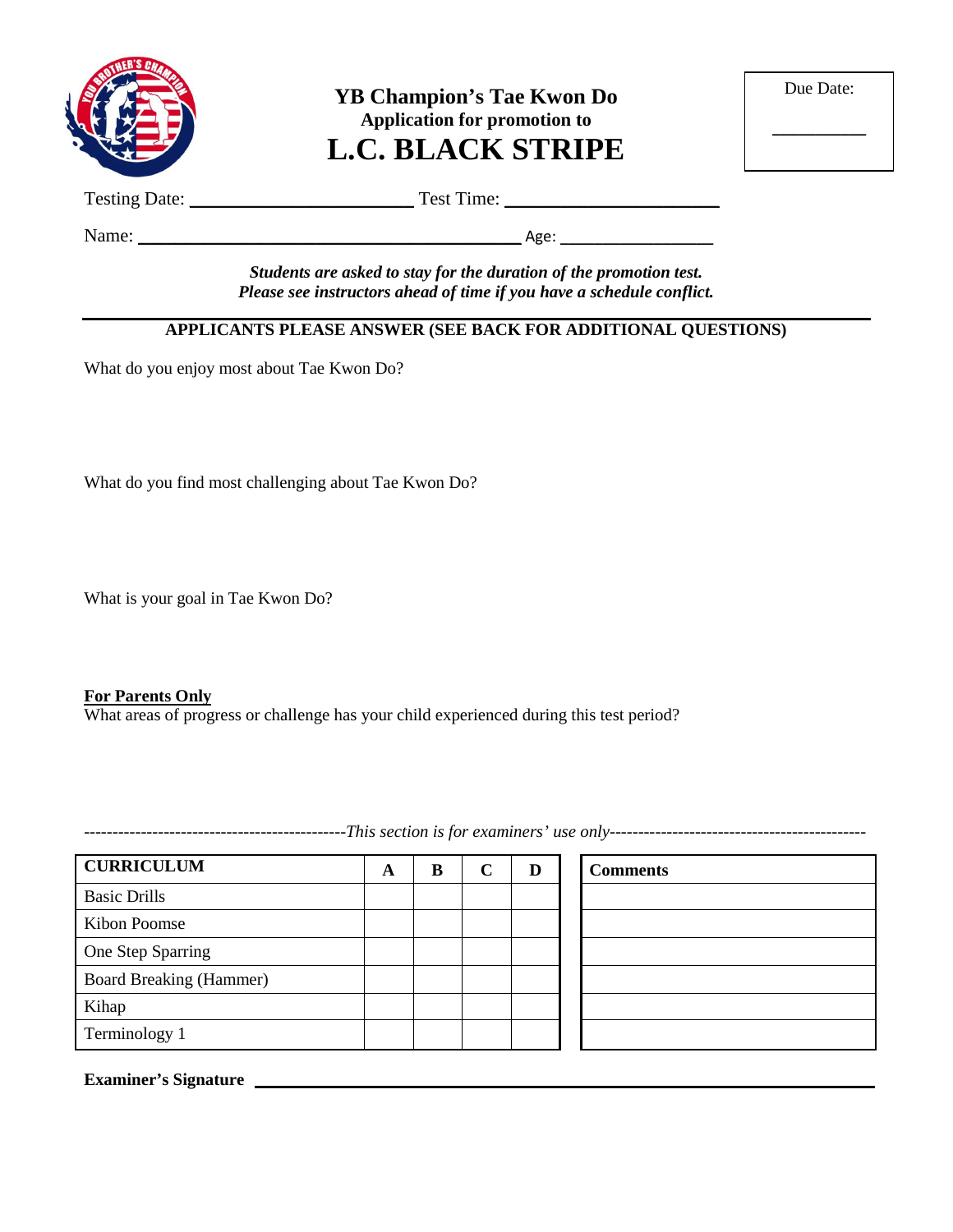

**YB Champion's Tae Kwon Do Application for promotion to L.C. BLACK STRIPE**

| Due Date: |  |
|-----------|--|
|           |  |

Testing Date: \_\_\_\_\_\_\_\_\_\_\_\_\_\_\_\_\_\_\_\_\_\_\_\_ Test Time: \_\_\_\_\_\_\_\_\_\_\_\_\_\_\_\_\_\_\_\_\_\_\_

Name: \_\_\_\_\_\_\_\_\_\_\_\_\_\_\_\_\_\_\_\_\_\_\_\_\_\_\_\_\_\_\_\_\_\_\_\_\_\_\_\_\_ Age: \_\_\_\_\_\_\_\_\_\_\_\_\_\_\_\_\_\_

*Students are asked to stay for the duration of the promotion test. Please see instructors ahead of time if you have a schedule conflict.*

## **APPLICANTS PLEASE ANSWER (SEE BACK FOR ADDITIONAL QUESTIONS)**

What do you enjoy most about Tae Kwon Do?

What do you find most challenging about Tae Kwon Do?

What is your goal in Tae Kwon Do?

#### **For Parents Only**

What areas of progress or challenge has your child experienced during this test period?

**CURRICULUM A B C D Comments** Basic Drills Kibon Poomse One Step Sparring Board Breaking (Hammer) Kihap Terminology 1

**Examiner's Signature**

----------------------------------------------*This section is for examiners' use only---------------------------------------------*